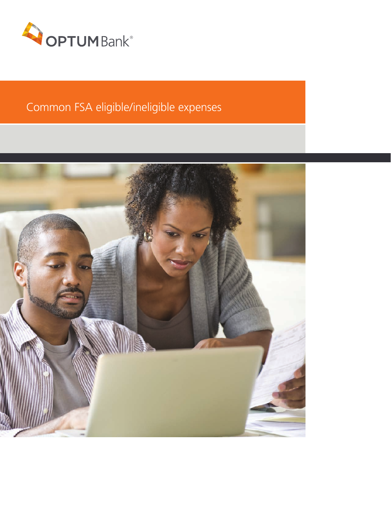

# Common FSA eligible/ineligible expenses

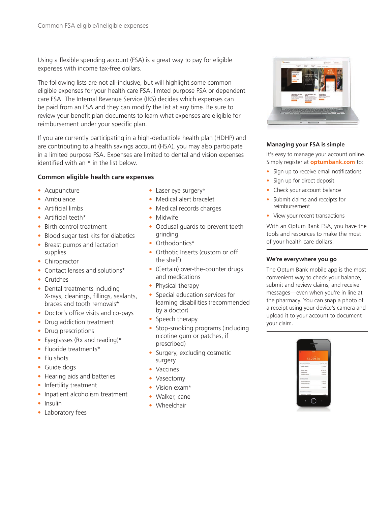Using a flexible spending account (FSA) is a great way to pay for eligible expenses with income tax-free dollars.

The following lists are not all-inclusive, but will highlight some common eligible expenses for your health care FSA, limted purpose FSA or dependent care FSA. The Internal Revenue Service (IRS) decides which expenses can be paid from an FSA and they can modify the list at any time. Be sure to review your benefit plan documents to learn what expenses are eligible for reimbursement under your specific plan.

If you are currently participating in a high-deductible health plan (HDHP) and are contributing to a health savings account (HSA), you may also participate in a limited purpose FSA. Expenses are limited to dental and vision expenses identified with an \* in the list below.

#### **Common eligible health care expenses**

- Acupuncture
- Ambulance
- Artificial limbs
- Artificial teeth\*
- Birth control treatment
- Blood sugar test kits for diabetics
- Breast pumps and lactation supplies
- Chiropractor
- Contact lenses and solutions\*
- Crutches
- Dental treatments including X-rays, cleanings, fillings, sealants, braces and tooth removals\*
- Doctor's office visits and co-pays
- Drug addiction treatment
- Drug prescriptions
- Eyeglasses (Rx and reading)\*
- Fluoride treatments\*
- Flu shots
- Guide dogs
- Hearing aids and batteries
- Infertility treatment
- Inpatient alcoholism treatment
- Insulin
- Laboratory fees
- Laser eye surgery\*
- Medical alert bracelet
- Medical records charges
- Midwife
- Occlusal guards to prevent teeth grinding
- Orthodontics\*
- Orthotic Inserts (custom or off the shelf)
- (Certain) over-the-counter drugs and medications
- Physical therapy
- Special education services for learning disabilities (recommended by a doctor)
- Speech therapy
- Stop-smoking programs (including nicotine gum or patches, if prescribed)
- Surgery, excluding cosmetic surgery
- Vaccines
- Vasectomy
- Vision exam\*
- Walker, cane
- Wheelchair



#### **Managing your FSA is simple**

It's easy to manage your account online. Simply register at **optumbank.com** to:

- Sign up to receive email notifications
- Sign up for direct deposit
- Check your account balance
- Submit claims and receipts for reimbursement
- View your recent transactions

With an Optum Bank FSA, you have the tools and resources to make the most of your health care dollars.

#### **We're everywhere you go**

The Optum Bank mobile app is the most convenient way to check your balance, submit and review claims, and receive messages—even when you're in line at the pharmacy. You can snap a photo of a receipt using your device's camera and upload it to your account to document your claim.

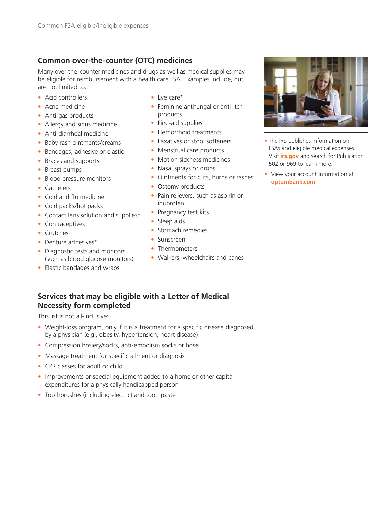# **Common over-the-counter (OTC) medicines**

Many over-the-counter medicines and drugs as well as medical supplies may be eligible for reimbursement with a health care FSA. Examples include, but are not limited to:

- Acid controllers
- Acne medicine
- Anti-gas products
- Allergy and sinus medicine
- Anti-diarrheal medicine
- Baby rash ointments/creams
- Bandages, adhesive or elastic
- Braces and supports
- Breast pumps
- Blood pressure monitors
- Catheters
- Cold and flu medicine
- Cold packs/hot packs
- Contact lens solution and supplies\*
- Contraceptives
- Crutches
- Denture adhesives\*
- Diagnostic tests and monitors (such as blood glucose monitors)
- Elastic bandages and wraps
- Eye care\*
- Feminine antifungal or anti-itch products
- First-aid supplies
- Hemorrhoid treatments
- Laxatives or stool softeners
- Menstrual care products
- Motion sickness medicines
- Nasal sprays or drops
- Ointments for cuts, burns or rashes
- Ostomy products
- Pain relievers, such as aspirin or ibuprofen
- Pregnancy test kits
- Sleep aids
- Stomach remedies
- Sunscreen
- Thermometers
- Walkers, wheelchairs and canes



- The IRS publishes information on FSAs and eligible medical expenses. Visit **irs.gov** and search for Publication 502 or 969 to learn more.
- View your account information at **optumbank.com**

## **Services that may be eligible with a Letter of Medical Necessity form completed**

This list is not all-inclusive:

- Weight-loss program, only if it is a treatment for a specific disease diagnosed by a physician (e.g., obesity, hypertension, heart disease)
- Compression hosiery/socks, anti-embolism socks or hose
- Massage treatment for specific ailment or diagnosis
- CPR classes for adult or child
- Improvements or special equipment added to a home or other capital expenditures for a physically handicapped person
- Toothbrushes (including electric) and toothpaste